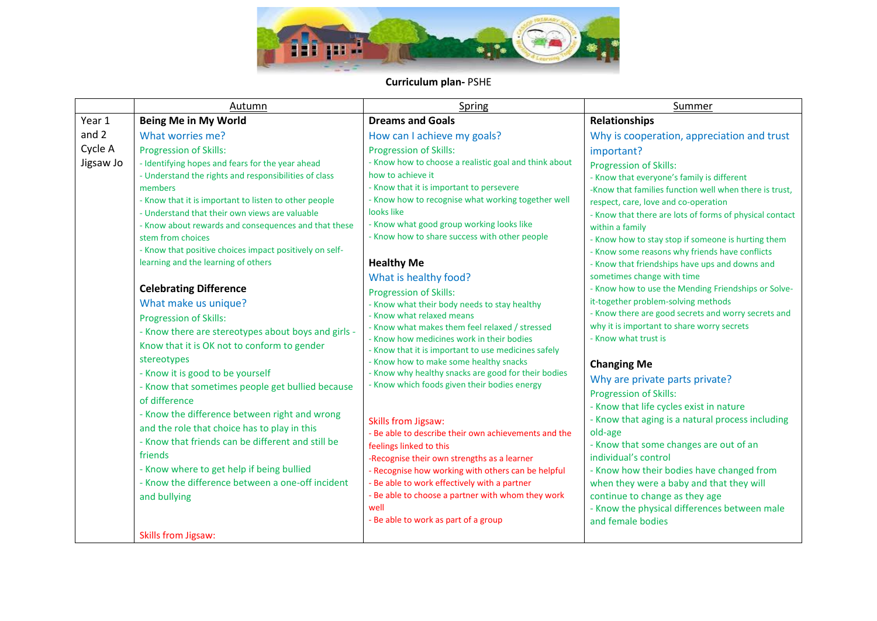

# **Curriculum plan-** PSHE

|           | Autumn                                                                                                                                                                                                                                                                                                                                                                                                                                                                                                                                                                                                                                                                                                                                                                                                                                                                                                                                                                                                                   | Spring                                                                                                                                                                                                                                                                                                                                                                                                                                                                                                                                                                                                                                                                                                                                                                                                                                                                                                                                                                                                                                                                                                                          | Summer                                                                                                                                                                                                                                                                                                                                                                                                                                                                                                                                                                                                                                                                                                                                                                                                                                                                                                                                                                                                                                                                                                                                       |
|-----------|--------------------------------------------------------------------------------------------------------------------------------------------------------------------------------------------------------------------------------------------------------------------------------------------------------------------------------------------------------------------------------------------------------------------------------------------------------------------------------------------------------------------------------------------------------------------------------------------------------------------------------------------------------------------------------------------------------------------------------------------------------------------------------------------------------------------------------------------------------------------------------------------------------------------------------------------------------------------------------------------------------------------------|---------------------------------------------------------------------------------------------------------------------------------------------------------------------------------------------------------------------------------------------------------------------------------------------------------------------------------------------------------------------------------------------------------------------------------------------------------------------------------------------------------------------------------------------------------------------------------------------------------------------------------------------------------------------------------------------------------------------------------------------------------------------------------------------------------------------------------------------------------------------------------------------------------------------------------------------------------------------------------------------------------------------------------------------------------------------------------------------------------------------------------|----------------------------------------------------------------------------------------------------------------------------------------------------------------------------------------------------------------------------------------------------------------------------------------------------------------------------------------------------------------------------------------------------------------------------------------------------------------------------------------------------------------------------------------------------------------------------------------------------------------------------------------------------------------------------------------------------------------------------------------------------------------------------------------------------------------------------------------------------------------------------------------------------------------------------------------------------------------------------------------------------------------------------------------------------------------------------------------------------------------------------------------------|
| Year 1    | <b>Being Me in My World</b>                                                                                                                                                                                                                                                                                                                                                                                                                                                                                                                                                                                                                                                                                                                                                                                                                                                                                                                                                                                              | <b>Dreams and Goals</b>                                                                                                                                                                                                                                                                                                                                                                                                                                                                                                                                                                                                                                                                                                                                                                                                                                                                                                                                                                                                                                                                                                         | <b>Relationships</b>                                                                                                                                                                                                                                                                                                                                                                                                                                                                                                                                                                                                                                                                                                                                                                                                                                                                                                                                                                                                                                                                                                                         |
| and $2$   | What worries me?                                                                                                                                                                                                                                                                                                                                                                                                                                                                                                                                                                                                                                                                                                                                                                                                                                                                                                                                                                                                         | How can I achieve my goals?                                                                                                                                                                                                                                                                                                                                                                                                                                                                                                                                                                                                                                                                                                                                                                                                                                                                                                                                                                                                                                                                                                     | Why is cooperation, appreciation and trust                                                                                                                                                                                                                                                                                                                                                                                                                                                                                                                                                                                                                                                                                                                                                                                                                                                                                                                                                                                                                                                                                                   |
| Cycle A   | Progression of Skills:                                                                                                                                                                                                                                                                                                                                                                                                                                                                                                                                                                                                                                                                                                                                                                                                                                                                                                                                                                                                   | <b>Progression of Skills:</b>                                                                                                                                                                                                                                                                                                                                                                                                                                                                                                                                                                                                                                                                                                                                                                                                                                                                                                                                                                                                                                                                                                   | important?                                                                                                                                                                                                                                                                                                                                                                                                                                                                                                                                                                                                                                                                                                                                                                                                                                                                                                                                                                                                                                                                                                                                   |
| Jigsaw Jo | - Identifying hopes and fears for the year ahead<br>- Understand the rights and responsibilities of class<br>members<br>- Know that it is important to listen to other people<br>- Understand that their own views are valuable<br>- Know about rewards and consequences and that these<br>stem from choices<br>- Know that positive choices impact positively on self-<br>learning and the learning of others<br><b>Celebrating Difference</b><br>What make us unique?<br><b>Progression of Skills:</b><br>- Know there are stereotypes about boys and girls -<br>Know that it is OK not to conform to gender<br>stereotypes<br>- Know it is good to be yourself<br>- Know that sometimes people get bullied because<br>of difference<br>- Know the difference between right and wrong<br>and the role that choice has to play in this<br>- Know that friends can be different and still be<br>friends<br>- Know where to get help if being bullied<br>- Know the difference between a one-off incident<br>and bullying | - Know how to choose a realistic goal and think about<br>how to achieve it<br>- Know that it is important to persevere<br>- Know how to recognise what working together well<br>looks like<br>- Know what good group working looks like<br>- Know how to share success with other people<br><b>Healthy Me</b><br>What is healthy food?<br><b>Progression of Skills:</b><br>- Know what their body needs to stay healthy<br>- Know what relaxed means<br>- Know what makes them feel relaxed / stressed<br>- Know how medicines work in their bodies<br>- Know that it is important to use medicines safely<br>- Know how to make some healthy snacks<br>- Know why healthy snacks are good for their bodies<br>- Know which foods given their bodies energy<br>Skills from Jigsaw:<br>- Be able to describe their own achievements and the<br>feelings linked to this<br>-Recognise their own strengths as a learner<br>- Recognise how working with others can be helpful<br>- Be able to work effectively with a partner<br>- Be able to choose a partner with whom they work<br>well<br>- Be able to work as part of a group | Progression of Skills:<br>- Know that everyone's family is different<br>-Know that families function well when there is trust,<br>respect, care, love and co-operation<br>- Know that there are lots of forms of physical contact<br>within a family<br>- Know how to stay stop if someone is hurting them<br>- Know some reasons why friends have conflicts<br>- Know that friendships have ups and downs and<br>sometimes change with time<br>- Know how to use the Mending Friendships or Solve-<br>it-together problem-solving methods<br>- Know there are good secrets and worry secrets and<br>why it is important to share worry secrets<br>- Know what trust is<br><b>Changing Me</b><br>Why are private parts private?<br><b>Progression of Skills:</b><br>- Know that life cycles exist in nature<br>- Know that aging is a natural process including<br>old-age<br>- Know that some changes are out of an<br>individual's control<br>- Know how their bodies have changed from<br>when they were a baby and that they will<br>continue to change as they age<br>- Know the physical differences between male<br>and female bodies |
|           | Skills from Jigsaw:                                                                                                                                                                                                                                                                                                                                                                                                                                                                                                                                                                                                                                                                                                                                                                                                                                                                                                                                                                                                      |                                                                                                                                                                                                                                                                                                                                                                                                                                                                                                                                                                                                                                                                                                                                                                                                                                                                                                                                                                                                                                                                                                                                 |                                                                                                                                                                                                                                                                                                                                                                                                                                                                                                                                                                                                                                                                                                                                                                                                                                                                                                                                                                                                                                                                                                                                              |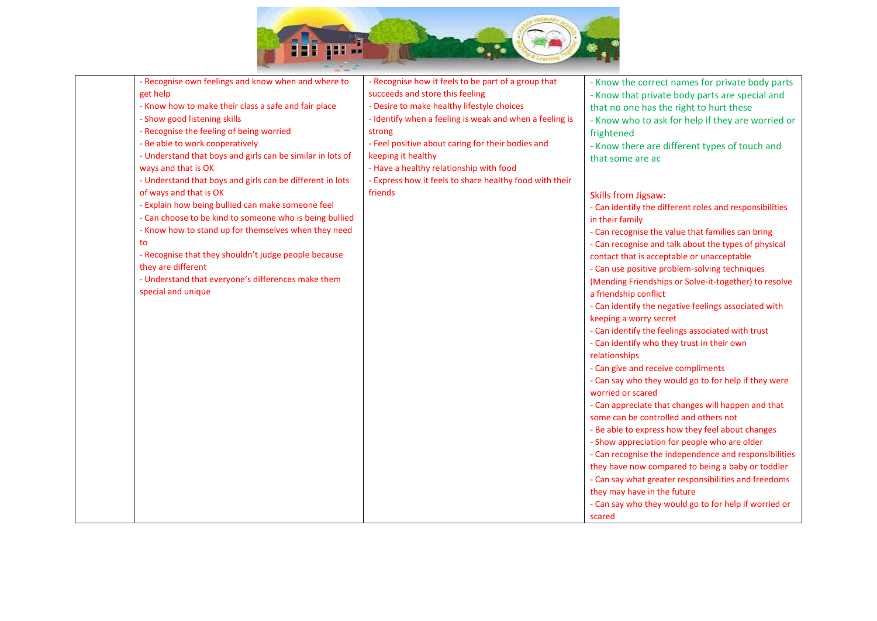

| - Recognise own feelings and know when and where to        | - Recognise how it feels to be part of a group that     | - Know the correct names for private body parts         |
|------------------------------------------------------------|---------------------------------------------------------|---------------------------------------------------------|
| get help                                                   | succeeds and store this feeling                         | - Know that private body parts are special and          |
| - Know how to make their class a safe and fair place       | - Desire to make healthy lifestyle choices              | that no one has the right to hurt these                 |
| - Show good listening skills                               | - Identify when a feeling is weak and when a feeling is | - Know who to ask for help if they are worried or       |
| - Recognise the feeling of being worried                   | strong                                                  | frightened                                              |
| - Be able to work cooperatively                            | - Feel positive about caring for their bodies and       | - Know there are different types of touch and           |
| - Understand that boys and girls can be similar in lots of | keeping it healthy                                      | that some are ac                                        |
| ways and that is OK                                        | - Have a healthy relationship with food                 |                                                         |
| - Understand that boys and girls can be different in lots  | - Express how it feels to share healthy food with their |                                                         |
| of ways and that is OK                                     | friends                                                 | Skills from Jigsaw:                                     |
| - Explain how being bullied can make someone feel          |                                                         | - Can identify the different roles and responsibilities |
| - Can choose to be kind to someone who is being bullied    |                                                         | in their family                                         |
| - Know how to stand up for themselves when they need       |                                                         | - Can recognise the value that families can bring       |
| to                                                         |                                                         | - Can recognise and talk about the types of physical    |
| - Recognise that they shouldn't judge people because       |                                                         | contact that is acceptable or unacceptable              |
| they are different                                         |                                                         | - Can use positive problem-solving techniques           |
| - Understand that everyone's differences make them         |                                                         | (Mending Friendships or Solve-it-together) to resolve   |
| special and unique                                         |                                                         | a friendship conflict                                   |
|                                                            |                                                         | - Can identify the negative feelings associated with    |
|                                                            |                                                         | keeping a worry secret                                  |
|                                                            |                                                         | - Can identify the feelings associated with trust       |
|                                                            |                                                         | - Can identify who they trust in their own              |
|                                                            |                                                         | relationships                                           |
|                                                            |                                                         | - Can give and receive compliments                      |
|                                                            |                                                         | - Can say who they would go to for help if they were    |
|                                                            |                                                         | worried or scared                                       |
|                                                            |                                                         | - Can appreciate that changes will happen and that      |
|                                                            |                                                         | some can be controlled and others not                   |
|                                                            |                                                         | - Be able to express how they feel about changes        |
|                                                            |                                                         | - Show appreciation for people who are older            |
|                                                            |                                                         | - Can recognise the independence and responsibilities   |
|                                                            |                                                         | they have now compared to being a baby or toddler       |
|                                                            |                                                         | - Can say what greater responsibilities and freedoms    |
|                                                            |                                                         | they may have in the future                             |
|                                                            |                                                         | - Can say who they would go to for help if worried or   |
|                                                            |                                                         | scared                                                  |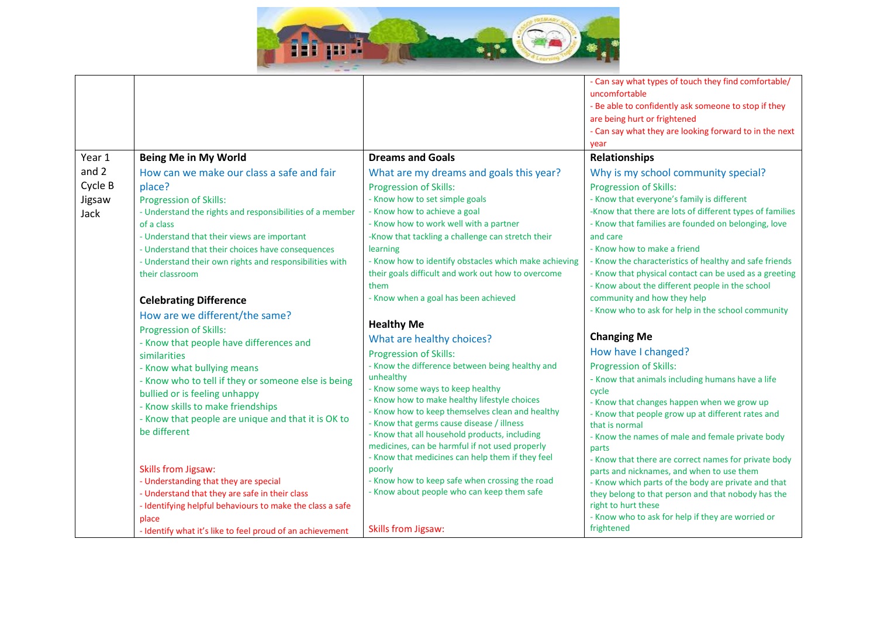

|         |                                                                                                  |                                                                                              | - Can say what types of touch they find comfortable/<br>uncomfortable<br>- Be able to confidently ask someone to stop if they<br>are being hurt or frightened<br>- Can say what they are looking forward to in the next |
|---------|--------------------------------------------------------------------------------------------------|----------------------------------------------------------------------------------------------|-------------------------------------------------------------------------------------------------------------------------------------------------------------------------------------------------------------------------|
|         |                                                                                                  |                                                                                              | year                                                                                                                                                                                                                    |
| Year 1  | Being Me in My World                                                                             | <b>Dreams and Goals</b>                                                                      | Relationships                                                                                                                                                                                                           |
| and $2$ | How can we make our class a safe and fair                                                        | What are my dreams and goals this year?                                                      | Why is my school community special?                                                                                                                                                                                     |
| Cycle B | place?                                                                                           | <b>Progression of Skills:</b>                                                                | <b>Progression of Skills:</b>                                                                                                                                                                                           |
| Jigsaw  | <b>Progression of Skills:</b>                                                                    | - Know how to set simple goals                                                               | - Know that everyone's family is different                                                                                                                                                                              |
| Jack    | - Understand the rights and responsibilities of a member                                         | - Know how to achieve a goal                                                                 | -Know that there are lots of different types of families                                                                                                                                                                |
|         | of a class                                                                                       | - Know how to work well with a partner                                                       | - Know that families are founded on belonging, love                                                                                                                                                                     |
|         | - Understand that their views are important<br>- Understand that their choices have consequences | -Know that tackling a challenge can stretch their<br>learning                                | and care<br>- Know how to make a friend                                                                                                                                                                                 |
|         | - Understand their own rights and responsibilities with                                          | - Know how to identify obstacles which make achieving                                        | - Know the characteristics of healthy and safe friends                                                                                                                                                                  |
|         | their classroom                                                                                  | their goals difficult and work out how to overcome                                           | - Know that physical contact can be used as a greeting                                                                                                                                                                  |
|         |                                                                                                  | them                                                                                         | - Know about the different people in the school                                                                                                                                                                         |
|         | <b>Celebrating Difference</b>                                                                    | - Know when a goal has been achieved                                                         | community and how they help                                                                                                                                                                                             |
|         | How are we different/the same?                                                                   |                                                                                              | - Know who to ask for help in the school community                                                                                                                                                                      |
|         | <b>Progression of Skills:</b>                                                                    | <b>Healthy Me</b>                                                                            |                                                                                                                                                                                                                         |
|         | - Know that people have differences and                                                          | What are healthy choices?                                                                    | <b>Changing Me</b>                                                                                                                                                                                                      |
|         | similarities                                                                                     | <b>Progression of Skills:</b>                                                                | How have I changed?                                                                                                                                                                                                     |
|         | - Know what bullying means                                                                       | - Know the difference between being healthy and                                              | <b>Progression of Skills:</b>                                                                                                                                                                                           |
|         | - Know who to tell if they or someone else is being                                              | unhealthy                                                                                    | - Know that animals including humans have a life                                                                                                                                                                        |
|         | bullied or is feeling unhappy                                                                    | - Know some ways to keep healthy                                                             | cycle                                                                                                                                                                                                                   |
|         | - Know skills to make friendships                                                                | - Know how to make healthy lifestyle choices                                                 | - Know that changes happen when we grow up                                                                                                                                                                              |
|         | - Know that people are unique and that it is OK to                                               | - Know how to keep themselves clean and healthy<br>- Know that germs cause disease / illness | - Know that people grow up at different rates and                                                                                                                                                                       |
|         | be different                                                                                     | - Know that all household products, including                                                | that is normal<br>- Know the names of male and female private body                                                                                                                                                      |
|         |                                                                                                  | medicines, can be harmful if not used properly                                               | parts                                                                                                                                                                                                                   |
|         |                                                                                                  | - Know that medicines can help them if they feel                                             | - Know that there are correct names for private body                                                                                                                                                                    |
|         | <b>Skills from Jigsaw:</b>                                                                       | poorly                                                                                       | parts and nicknames, and when to use them                                                                                                                                                                               |
|         | - Understanding that they are special                                                            | - Know how to keep safe when crossing the road<br>- Know about people who can keep them safe | - Know which parts of the body are private and that                                                                                                                                                                     |
|         | - Understand that they are safe in their class                                                   |                                                                                              | they belong to that person and that nobody has the                                                                                                                                                                      |
|         | - Identifying helpful behaviours to make the class a safe<br>place                               |                                                                                              | right to hurt these<br>- Know who to ask for help if they are worried or                                                                                                                                                |
|         | - Identify what it's like to feel proud of an achievement                                        | Skills from Jigsaw:                                                                          | frightened                                                                                                                                                                                                              |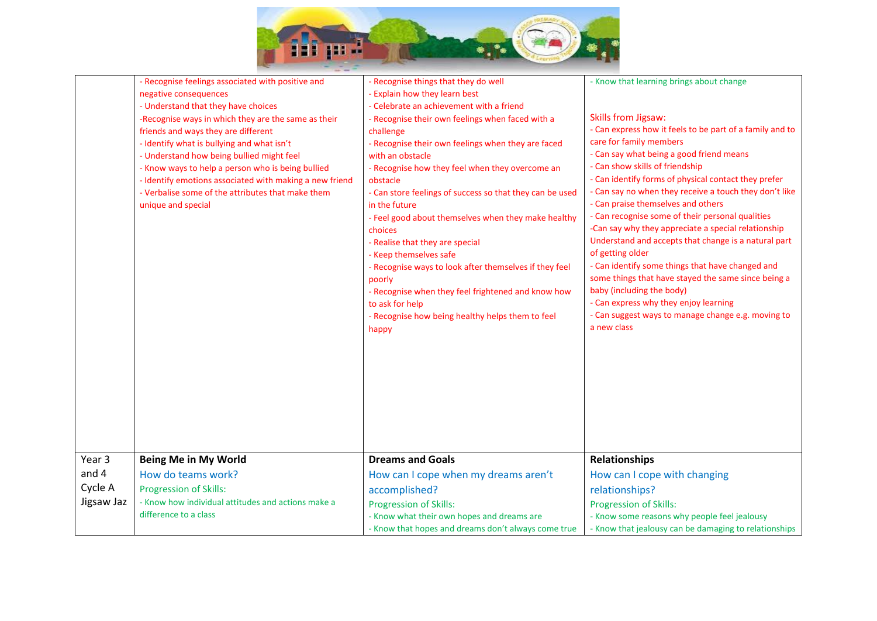

|            | - Recognise feelings associated with positive and<br>negative consequences<br>- Understand that they have choices<br>-Recognise ways in which they are the same as their<br>friends and ways they are different<br>- Identify what is bullying and what isn't<br>- Understand how being bullied might feel<br>- Know ways to help a person who is being bullied<br>- Identify emotions associated with making a new friend<br>- Verbalise some of the attributes that make them<br>unique and special | - Recognise things that they do well<br>- Explain how they learn best<br>- Celebrate an achievement with a friend<br>- Recognise their own feelings when faced with a<br>challenge<br>- Recognise their own feelings when they are faced<br>with an obstacle<br>- Recognise how they feel when they overcome an<br>obstacle<br>- Can store feelings of success so that they can be used<br>in the future<br>- Feel good about themselves when they make healthy<br>choices<br>- Realise that they are special<br>- Keep themselves safe<br>- Recognise ways to look after themselves if they feel<br>poorly<br>- Recognise when they feel frightened and know how<br>to ask for help<br>- Recognise how being healthy helps them to feel<br>happy | - Know that learning brings about change<br>Skills from Jigsaw:<br>- Can express how it feels to be part of a family and to<br>care for family members<br>- Can say what being a good friend means<br>- Can show skills of friendship<br>- Can identify forms of physical contact they prefer<br>- Can say no when they receive a touch they don't like<br>- Can praise themselves and others<br>- Can recognise some of their personal qualities<br>-Can say why they appreciate a special relationship<br>Understand and accepts that change is a natural part<br>of getting older<br>- Can identify some things that have changed and<br>some things that have stayed the same since being a<br>baby (including the body)<br>- Can express why they enjoy learning<br>- Can suggest ways to manage change e.g. moving to<br>a new class |
|------------|-------------------------------------------------------------------------------------------------------------------------------------------------------------------------------------------------------------------------------------------------------------------------------------------------------------------------------------------------------------------------------------------------------------------------------------------------------------------------------------------------------|---------------------------------------------------------------------------------------------------------------------------------------------------------------------------------------------------------------------------------------------------------------------------------------------------------------------------------------------------------------------------------------------------------------------------------------------------------------------------------------------------------------------------------------------------------------------------------------------------------------------------------------------------------------------------------------------------------------------------------------------------|--------------------------------------------------------------------------------------------------------------------------------------------------------------------------------------------------------------------------------------------------------------------------------------------------------------------------------------------------------------------------------------------------------------------------------------------------------------------------------------------------------------------------------------------------------------------------------------------------------------------------------------------------------------------------------------------------------------------------------------------------------------------------------------------------------------------------------------------|
|            |                                                                                                                                                                                                                                                                                                                                                                                                                                                                                                       |                                                                                                                                                                                                                                                                                                                                                                                                                                                                                                                                                                                                                                                                                                                                                   |                                                                                                                                                                                                                                                                                                                                                                                                                                                                                                                                                                                                                                                                                                                                                                                                                                            |
| Year 3     | <b>Being Me in My World</b>                                                                                                                                                                                                                                                                                                                                                                                                                                                                           | <b>Dreams and Goals</b>                                                                                                                                                                                                                                                                                                                                                                                                                                                                                                                                                                                                                                                                                                                           | <b>Relationships</b>                                                                                                                                                                                                                                                                                                                                                                                                                                                                                                                                                                                                                                                                                                                                                                                                                       |
| and 4      | How do teams work?                                                                                                                                                                                                                                                                                                                                                                                                                                                                                    | How can I cope when my dreams aren't                                                                                                                                                                                                                                                                                                                                                                                                                                                                                                                                                                                                                                                                                                              | How can I cope with changing                                                                                                                                                                                                                                                                                                                                                                                                                                                                                                                                                                                                                                                                                                                                                                                                               |
| Cycle A    | <b>Progression of Skills:</b>                                                                                                                                                                                                                                                                                                                                                                                                                                                                         | accomplished?                                                                                                                                                                                                                                                                                                                                                                                                                                                                                                                                                                                                                                                                                                                                     | relationships?                                                                                                                                                                                                                                                                                                                                                                                                                                                                                                                                                                                                                                                                                                                                                                                                                             |
| Jigsaw Jaz | - Know how individual attitudes and actions make a                                                                                                                                                                                                                                                                                                                                                                                                                                                    | <b>Progression of Skills:</b>                                                                                                                                                                                                                                                                                                                                                                                                                                                                                                                                                                                                                                                                                                                     | <b>Progression of Skills:</b>                                                                                                                                                                                                                                                                                                                                                                                                                                                                                                                                                                                                                                                                                                                                                                                                              |
|            | difference to a class                                                                                                                                                                                                                                                                                                                                                                                                                                                                                 | - Know what their own hopes and dreams are                                                                                                                                                                                                                                                                                                                                                                                                                                                                                                                                                                                                                                                                                                        | - Know some reasons why people feel jealousy                                                                                                                                                                                                                                                                                                                                                                                                                                                                                                                                                                                                                                                                                                                                                                                               |
|            |                                                                                                                                                                                                                                                                                                                                                                                                                                                                                                       | - Know that hopes and dreams don't always come true                                                                                                                                                                                                                                                                                                                                                                                                                                                                                                                                                                                                                                                                                               | - Know that jealousy can be damaging to relationships                                                                                                                                                                                                                                                                                                                                                                                                                                                                                                                                                                                                                                                                                                                                                                                      |
|            |                                                                                                                                                                                                                                                                                                                                                                                                                                                                                                       |                                                                                                                                                                                                                                                                                                                                                                                                                                                                                                                                                                                                                                                                                                                                                   |                                                                                                                                                                                                                                                                                                                                                                                                                                                                                                                                                                                                                                                                                                                                                                                                                                            |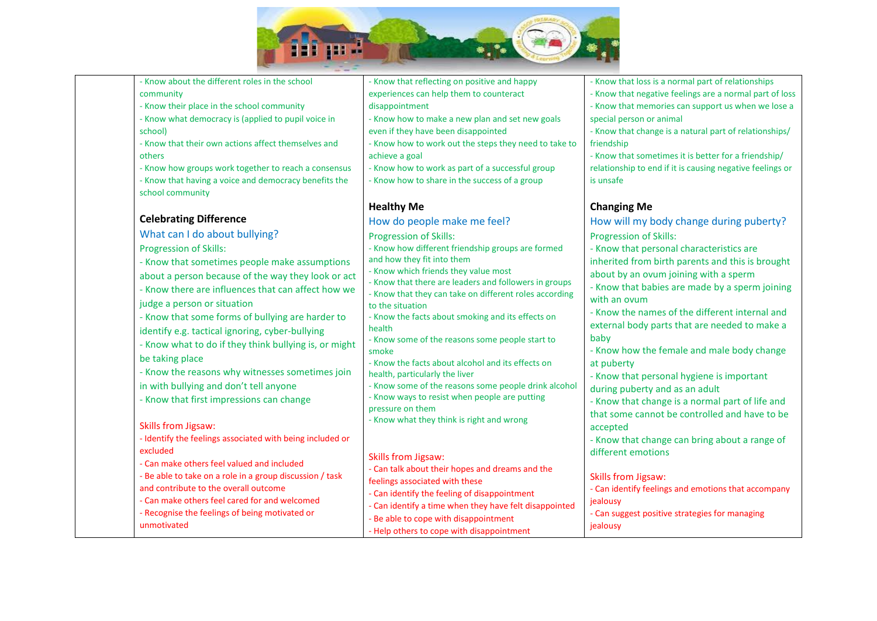

- Know about the different roles in the school community

- Know their place in the school community

- Know what democracy is (applied to pupil voice in school)

- Know that their own actions affect themselves and others

- Know how groups work together to reach a consensus - Know that having a voice and democracy benefits the school community

#### **Celebrating Difference**

What can I do about bullying? Progression of Skills:

- Know that sometimes people make assumptions about a person because of the way they look or act - Know there are influences that can affect how we judge a person or situation - Know that some forms of bullying are harder to identify e.g. tactical ignoring, cyber-bullying - Know what to do if they think bullying is, or might be taking place - Know the reasons why witnesses sometimes join

in with bullying and don't tell anyone

- Know that first impressions can change

# Skills from Jigsaw:

unmotivated

- Identify the feelings associated with being included or excluded - Can make others feel valued and included - Be able to take on a role in a group discussion / task

and contribute to the overall outcome - Can make others feel cared for and welcomed - Recognise the feelings of being motivated or

- Know that reflecting on positive and happy experiences can help them to counteract disappointment

- Know how to make a new plan and set new goals even if they have been disappointed

- Know how to work out the steps they need to take to achieve a goal

- Know how to work as part of a successful group

- Know how to share in the success of a group

### **Healthy Me**

How do people make me feel? Progression of Skills: - Know how different friendship groups are formed

and how they fit into them

- Know which friends they value most

- Know that there are leaders and followers in groups - Know that they can take on different roles according to the situation

- Know the facts about smoking and its effects on health

- Know some of the reasons some people start to smoke

- Know the facts about alcohol and its effects on health, particularly the liver

- Know some of the reasons some people drink alcohol - Know ways to resist when people are putting

pressure on them

- Know what they think is right and wrong

#### Skills from Jigsaw:

- Can talk about their hopes and dreams and the feelings associated with these - Can identify the feeling of disappointment

- Can identify a time when they have felt disappointed
- Be able to cope with disappointment
- Help others to cope with disappointment
- Know that loss is a normal part of relationships
- Know that negative feelings are a normal part of loss
- Know that memories can support us when we lose a special person or animal

- Know that change is a natural part of relationships/ friendship

- Know that sometimes it is better for a friendship/ relationship to end if it is causing negative feelings or is unsafe

## **Changing Me**

How will my body change during puberty? Progression of Skills: - Know that personal characteristics are inherited from birth parents and this is brought about by an ovum joining with a sperm - Know that babies are made by a sperm joining with an ovum - Know the names of the different internal and external body parts that are needed to make a baby - Know how the female and male body change at puberty - Know that personal hygiene is important during puberty and as an adult - Know that change is a normal part of life and that some cannot be controlled and have to be accepted - Know that change can bring about a range of different emotions Skills from Jigsaw: - Can identify feelings and emotions that accompany jealousy - Can suggest positive strategies for managing iealousy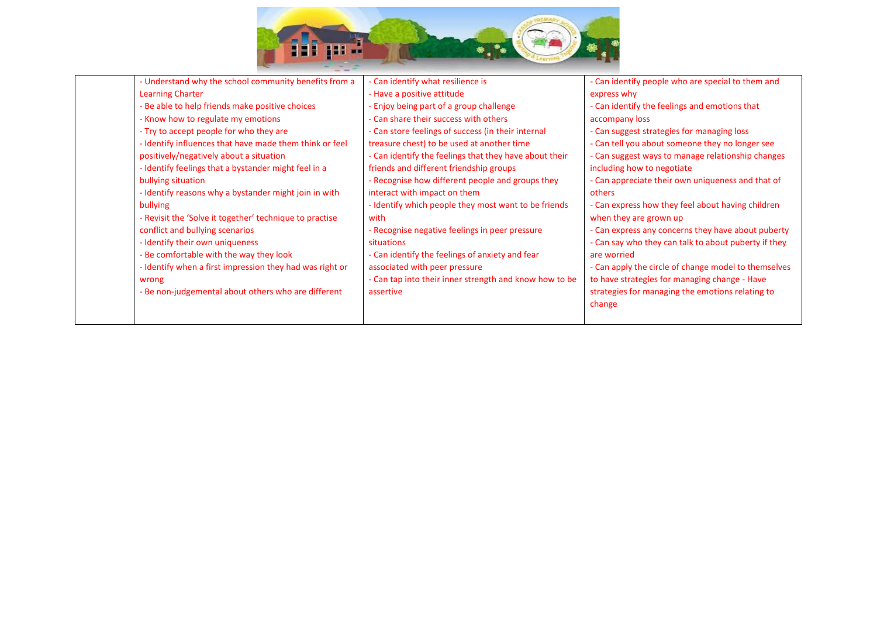

| - Understand why the school community benefits from a    | - Can identify what resilience is                      | - Can identify people who are special to them and    |
|----------------------------------------------------------|--------------------------------------------------------|------------------------------------------------------|
| <b>Learning Charter</b>                                  | - Have a positive attitude                             | express why                                          |
| - Be able to help friends make positive choices          | - Enjoy being part of a group challenge                | - Can identify the feelings and emotions that        |
| - Know how to regulate my emotions                       | - Can share their success with others                  | accompany loss                                       |
| - Try to accept people for who they are                  | - Can store feelings of success (in their internal     | - Can suggest strategies for managing loss           |
| - Identify influences that have made them think or feel  | treasure chest) to be used at another time             | - Can tell you about someone they no longer see      |
| positively/negatively about a situation                  | - Can identify the feelings that they have about their | - Can suggest ways to manage relationship changes    |
| - Identify feelings that a bystander might feel in a     | friends and different friendship groups                | including how to negotiate                           |
| bullying situation                                       | - Recognise how different people and groups they       | - Can appreciate their own uniqueness and that of    |
| - Identify reasons why a bystander might join in with    | interact with impact on them                           | others                                               |
| bullying                                                 | - Identify which people they most want to be friends   | - Can express how they feel about having children    |
| - Revisit the 'Solve it together' technique to practise  | with                                                   | when they are grown up                               |
| conflict and bullying scenarios                          | - Recognise negative feelings in peer pressure         | - Can express any concerns they have about puberty   |
| - Identify their own uniqueness                          | situations                                             | - Can say who they can talk to about puberty if they |
| - Be comfortable with the way they look                  | - Can identify the feelings of anxiety and fear        | are worried                                          |
| - Identify when a first impression they had was right or | associated with peer pressure                          | - Can apply the circle of change model to themselves |
| wrong                                                    | - Can tap into their inner strength and know how to be | to have strategies for managing change - Have        |
| - Be non-judgemental about others who are different      | assertive                                              | strategies for managing the emotions relating to     |
|                                                          |                                                        | change                                               |
|                                                          |                                                        |                                                      |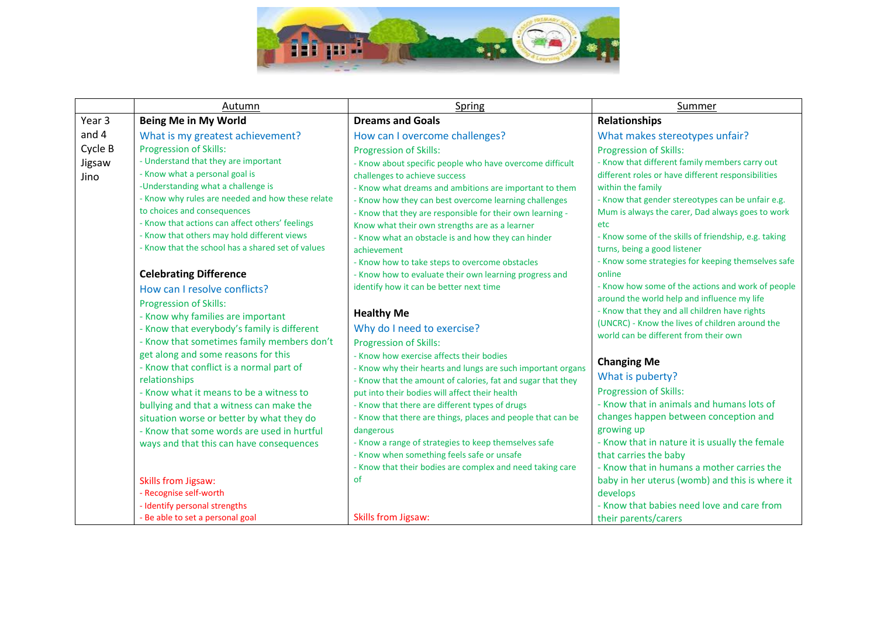

|         | Autumn                                                                          | Spring                                                                                                      | Summer                                                                                   |
|---------|---------------------------------------------------------------------------------|-------------------------------------------------------------------------------------------------------------|------------------------------------------------------------------------------------------|
| Year 3  | <b>Being Me in My World</b>                                                     | <b>Dreams and Goals</b>                                                                                     | <b>Relationships</b>                                                                     |
| and 4   | What is my greatest achievement?                                                | How can I overcome challenges?                                                                              | What makes stereotypes unfair?                                                           |
| Cycle B | <b>Progression of Skills:</b>                                                   | <b>Progression of Skills:</b>                                                                               | <b>Progression of Skills:</b>                                                            |
| Jigsaw  | - Understand that they are important                                            | - Know about specific people who have overcome difficult                                                    | - Know that different family members carry out                                           |
| Jino    | - Know what a personal goal is                                                  | challenges to achieve success                                                                               | different roles or have different responsibilities                                       |
|         | -Understanding what a challenge is                                              | - Know what dreams and ambitions are important to them                                                      | within the family                                                                        |
|         | - Know why rules are needed and how these relate<br>to choices and consequences | - Know how they can best overcome learning challenges                                                       | - Know that gender stereotypes can be unfair e.g.                                        |
|         | - Know that actions can affect others' feelings                                 | - Know that they are responsible for their own learning -<br>Know what their own strengths are as a learner | Mum is always the carer, Dad always goes to work<br>etc                                  |
|         | - Know that others may hold different views                                     | - Know what an obstacle is and how they can hinder                                                          | - Know some of the skills of friendship, e.g. taking                                     |
|         | - Know that the school has a shared set of values                               | achievement                                                                                                 | turns, being a good listener                                                             |
|         |                                                                                 | - Know how to take steps to overcome obstacles                                                              | - Know some strategies for keeping themselves safe                                       |
|         | <b>Celebrating Difference</b>                                                   | - Know how to evaluate their own learning progress and                                                      | online                                                                                   |
|         | How can I resolve conflicts?                                                    | identify how it can be better next time                                                                     | - Know how some of the actions and work of people                                        |
|         | <b>Progression of Skills:</b>                                                   |                                                                                                             | around the world help and influence my life                                              |
|         | - Know why families are important                                               | <b>Healthy Me</b>                                                                                           | - Know that they and all children have rights                                            |
|         | - Know that everybody's family is different                                     | Why do I need to exercise?                                                                                  | (UNCRC) - Know the lives of children around the<br>world can be different from their own |
|         | - Know that sometimes family members don't                                      | <b>Progression of Skills:</b>                                                                               |                                                                                          |
|         | get along and some reasons for this                                             | - Know how exercise affects their bodies                                                                    | <b>Changing Me</b>                                                                       |
|         | - Know that conflict is a normal part of                                        | - Know why their hearts and lungs are such important organs                                                 | What is puberty?                                                                         |
|         | relationships<br>- Know what it means to be a witness to                        | - Know that the amount of calories, fat and sugar that they                                                 | <b>Progression of Skills:</b>                                                            |
|         | bullying and that a witness can make the                                        | put into their bodies will affect their health<br>- Know that there are different types of drugs            | - Know that in animals and humans lots of                                                |
|         | situation worse or better by what they do                                       | - Know that there are things, places and people that can be                                                 | changes happen between conception and                                                    |
|         | - Know that some words are used in hurtful                                      | dangerous                                                                                                   | growing up                                                                               |
|         | ways and that this can have consequences                                        | - Know a range of strategies to keep themselves safe                                                        | - Know that in nature it is usually the female                                           |
|         |                                                                                 | - Know when something feels safe or unsafe                                                                  | that carries the baby                                                                    |
|         |                                                                                 | - Know that their bodies are complex and need taking care                                                   | - Know that in humans a mother carries the                                               |
|         | Skills from Jigsaw:                                                             | οf                                                                                                          | baby in her uterus (womb) and this is where it                                           |
|         | - Recognise self-worth                                                          |                                                                                                             | develops                                                                                 |
|         | - Identify personal strengths                                                   |                                                                                                             | - Know that babies need love and care from                                               |
|         | - Be able to set a personal goal                                                | <b>Skills from Jigsaw:</b>                                                                                  | their parents/carers                                                                     |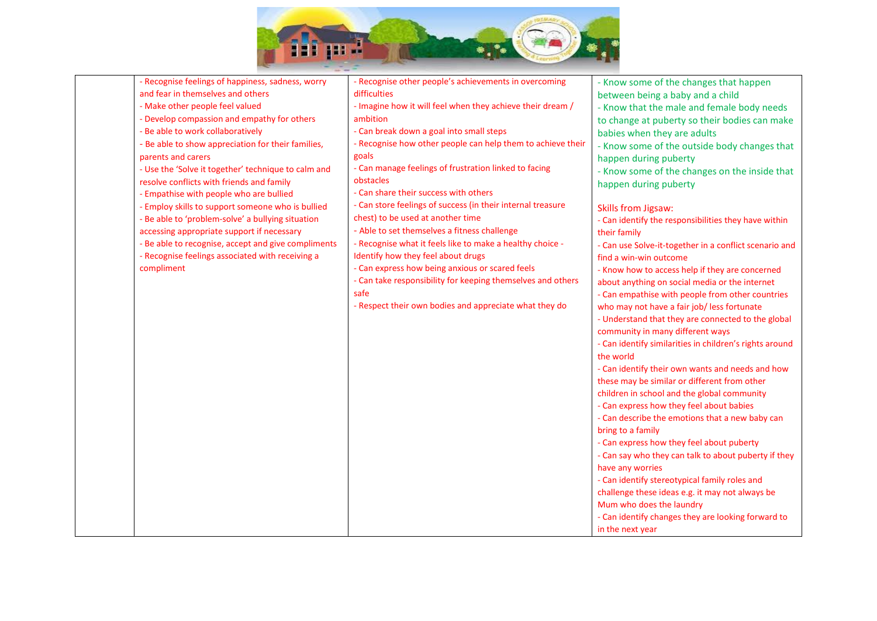

| - Recognise feelings of happiness, sadness, worry   | - Recognise other people's achievements in overcoming       | - Know some of the changes that happen                        |
|-----------------------------------------------------|-------------------------------------------------------------|---------------------------------------------------------------|
| and fear in themselves and others                   | difficulties                                                | between being a baby and a child                              |
| - Make other people feel valued                     | - Imagine how it will feel when they achieve their dream /  | - Know that the male and female body needs                    |
| - Develop compassion and empathy for others         | ambition                                                    | to change at puberty so their bodies can make                 |
| - Be able to work collaboratively                   | - Can break down a goal into small steps                    | babies when they are adults                                   |
| - Be able to show appreciation for their families,  | - Recognise how other people can help them to achieve their | - Know some of the outside body changes that                  |
| parents and carers                                  | goals                                                       | happen during puberty                                         |
| - Use the 'Solve it together' technique to calm and | - Can manage feelings of frustration linked to facing       | - Know some of the changes on the inside that                 |
| resolve conflicts with friends and family           | obstacles                                                   | happen during puberty                                         |
| - Empathise with people who are bullied             | - Can share their success with others                       |                                                               |
| - Employ skills to support someone who is bullied   | - Can store feelings of success (in their internal treasure | <b>Skills from Jigsaw:</b>                                    |
| - Be able to 'problem-solve' a bullying situation   | chest) to be used at another time                           | - Can identify the responsibilities they have within          |
| accessing appropriate support if necessary          | - Able to set themselves a fitness challenge                | their family                                                  |
| - Be able to recognise, accept and give compliments | - Recognise what it feels like to make a healthy choice -   | - Can use Solve-it-together in a conflict scenario and        |
| - Recognise feelings associated with receiving a    | Identify how they feel about drugs                          | find a win-win outcome                                        |
| compliment                                          | - Can express how being anxious or scared feels             | - Know how to access help if they are concerned               |
|                                                     | - Can take responsibility for keeping themselves and others | about anything on social media or the internet                |
|                                                     | safe                                                        | - Can empathise with people from other countries              |
|                                                     | - Respect their own bodies and appreciate what they do      | who may not have a fair job/ less fortunate                   |
|                                                     |                                                             | - Understand that they are connected to the global            |
|                                                     |                                                             | community in many different ways                              |
|                                                     |                                                             | - Can identify similarities in children's rights around       |
|                                                     |                                                             | the world<br>- Can identify their own wants and needs and how |
|                                                     |                                                             | these may be similar or different from other                  |
|                                                     |                                                             | children in school and the global community                   |
|                                                     |                                                             | - Can express how they feel about babies                      |
|                                                     |                                                             | - Can describe the emotions that a new baby can               |
|                                                     |                                                             | bring to a family                                             |
|                                                     |                                                             | - Can express how they feel about puberty                     |
|                                                     |                                                             | - Can say who they can talk to about puberty if they          |
|                                                     |                                                             | have any worries                                              |
|                                                     |                                                             | - Can identify stereotypical family roles and                 |
|                                                     |                                                             | challenge these ideas e.g. it may not always be               |
|                                                     |                                                             | Mum who does the laundry                                      |
|                                                     |                                                             | - Can identify changes they are looking forward to            |
|                                                     |                                                             | in the next year                                              |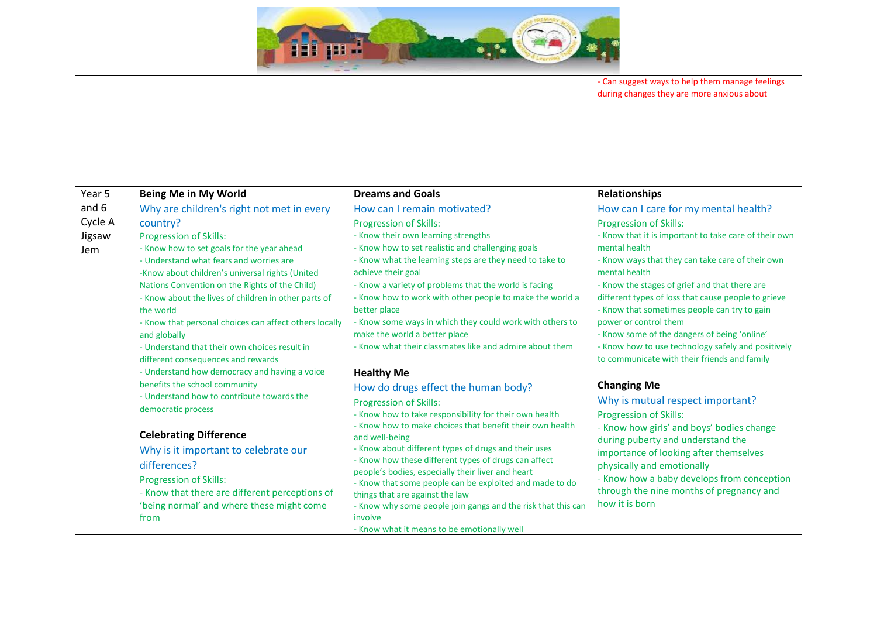

|                                   |                                                                                                                                                                                                                                                                                                                                                                                                                                                                                                                                                                                                                                                                                                                                                                                                                                                                                                    |                                                                                                                                                                                                                                                                                                                                                                                                                                                                                                                                                                                                                                                                                                                                                                                                                                                                                                                                                                                                                                                                                                                | - Can suggest ways to help them manage feelings<br>during changes they are more anxious about                                                                                                                                                                                                                                                                                                                                                                                                                                                                                                                                                                                                                                                                                                                                                                                                                                |
|-----------------------------------|----------------------------------------------------------------------------------------------------------------------------------------------------------------------------------------------------------------------------------------------------------------------------------------------------------------------------------------------------------------------------------------------------------------------------------------------------------------------------------------------------------------------------------------------------------------------------------------------------------------------------------------------------------------------------------------------------------------------------------------------------------------------------------------------------------------------------------------------------------------------------------------------------|----------------------------------------------------------------------------------------------------------------------------------------------------------------------------------------------------------------------------------------------------------------------------------------------------------------------------------------------------------------------------------------------------------------------------------------------------------------------------------------------------------------------------------------------------------------------------------------------------------------------------------------------------------------------------------------------------------------------------------------------------------------------------------------------------------------------------------------------------------------------------------------------------------------------------------------------------------------------------------------------------------------------------------------------------------------------------------------------------------------|------------------------------------------------------------------------------------------------------------------------------------------------------------------------------------------------------------------------------------------------------------------------------------------------------------------------------------------------------------------------------------------------------------------------------------------------------------------------------------------------------------------------------------------------------------------------------------------------------------------------------------------------------------------------------------------------------------------------------------------------------------------------------------------------------------------------------------------------------------------------------------------------------------------------------|
| Year 5                            | <b>Being Me in My World</b>                                                                                                                                                                                                                                                                                                                                                                                                                                                                                                                                                                                                                                                                                                                                                                                                                                                                        | <b>Dreams and Goals</b>                                                                                                                                                                                                                                                                                                                                                                                                                                                                                                                                                                                                                                                                                                                                                                                                                                                                                                                                                                                                                                                                                        | <b>Relationships</b>                                                                                                                                                                                                                                                                                                                                                                                                                                                                                                                                                                                                                                                                                                                                                                                                                                                                                                         |
| and 6<br>Cycle A<br>Jigsaw<br>Jem | Why are children's right not met in every<br>country?<br><b>Progression of Skills:</b><br>- Know how to set goals for the year ahead<br>- Understand what fears and worries are<br>-Know about children's universal rights (United<br>Nations Convention on the Rights of the Child)<br>- Know about the lives of children in other parts of<br>the world<br>- Know that personal choices can affect others locally<br>and globally<br>- Understand that their own choices result in<br>different consequences and rewards<br>- Understand how democracy and having a voice<br>benefits the school community<br>- Understand how to contribute towards the<br>democratic process<br><b>Celebrating Difference</b><br>Why is it important to celebrate our<br>differences?<br>Progression of Skills:<br>- Know that there are different perceptions of<br>'being normal' and where these might come | How can I remain motivated?<br><b>Progression of Skills:</b><br>- Know their own learning strengths<br>- Know how to set realistic and challenging goals<br>- Know what the learning steps are they need to take to<br>achieve their goal<br>- Know a variety of problems that the world is facing<br>- Know how to work with other people to make the world a<br>better place<br>- Know some ways in which they could work with others to<br>make the world a better place<br>- Know what their classmates like and admire about them<br><b>Healthy Me</b><br>How do drugs effect the human body?<br><b>Progression of Skills:</b><br>- Know how to take responsibility for their own health<br>- Know how to make choices that benefit their own health<br>and well-being<br>- Know about different types of drugs and their uses<br>- Know how these different types of drugs can affect<br>people's bodies, especially their liver and heart<br>- Know that some people can be exploited and made to do<br>things that are against the law<br>- Know why some people join gangs and the risk that this can | How can I care for my mental health?<br><b>Progression of Skills:</b><br>- Know that it is important to take care of their own<br>mental health<br>- Know ways that they can take care of their own<br>mental health<br>- Know the stages of grief and that there are<br>different types of loss that cause people to grieve<br>- Know that sometimes people can try to gain<br>power or control them<br>- Know some of the dangers of being 'online'<br>- Know how to use technology safely and positively<br>to communicate with their friends and family<br><b>Changing Me</b><br>Why is mutual respect important?<br><b>Progression of Skills:</b><br>- Know how girls' and boys' bodies change<br>during puberty and understand the<br>importance of looking after themselves<br>physically and emotionally<br>- Know how a baby develops from conception<br>through the nine months of pregnancy and<br>how it is born |
|                                   | from                                                                                                                                                                                                                                                                                                                                                                                                                                                                                                                                                                                                                                                                                                                                                                                                                                                                                               | involve<br>- Know what it means to be emotionally well                                                                                                                                                                                                                                                                                                                                                                                                                                                                                                                                                                                                                                                                                                                                                                                                                                                                                                                                                                                                                                                         |                                                                                                                                                                                                                                                                                                                                                                                                                                                                                                                                                                                                                                                                                                                                                                                                                                                                                                                              |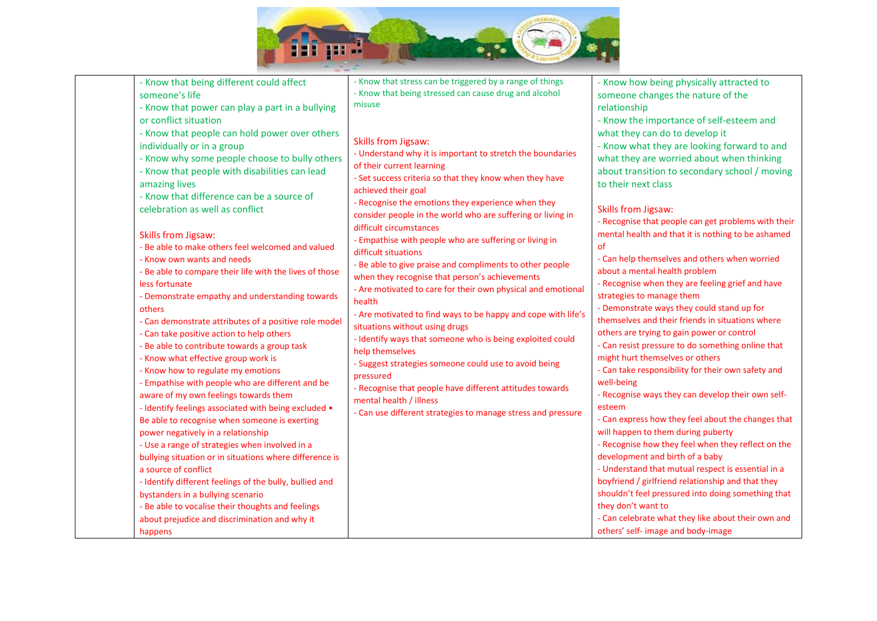

| - Know that being different could affect<br>someone's life<br>- Know that power can play a part in a bullying<br>or conflict situation<br>- Know that people can hold power over others<br>individually or in a group<br>- Know why some people choose to bully others<br>- Know that people with disabilities can lead<br>amazing lives<br>- Know that difference can be a source of<br>celebration as well as conflict<br>Skills from Jigsaw:<br>- Be able to make others feel welcomed and valued<br>- Know own wants and needs<br>- Be able to compare their life with the lives of those<br>less fortunate<br>- Demonstrate empathy and understanding towards<br>others<br>- Can demonstrate attributes of a positive role model<br>- Can take positive action to help others<br>- Be able to contribute towards a group task<br>- Know what effective group work is<br>- Know how to regulate my emotions<br>- Empathise with people who are different and be<br>aware of my own feelings towards them<br>- Identify feelings associated with being excluded .<br>Be able to recognise when someone is exerting<br>power negatively in a relationship<br>- Use a range of strategies when involved in a<br>bullying situation or in situations where difference is<br>a source of conflict<br>- Identify different feelings of the bully, bullied and<br>bystanders in a bullying scenario<br>- Be able to vocalise their thoughts and feelings<br>about prejudice and discrimination and why it<br>happens | - Know that stress can be triggered by a range of things<br>- Know that being stressed can cause drug and alcohol<br>misuse<br><b>Skills from Jigsaw:</b><br>- Understand why it is important to stretch the boundaries<br>of their current learning<br>- Set success criteria so that they know when they have<br>achieved their goal<br>- Recognise the emotions they experience when they<br>consider people in the world who are suffering or living in<br>difficult circumstances<br>- Empathise with people who are suffering or living in<br>difficult situations<br>- Be able to give praise and compliments to other people<br>when they recognise that person's achievements<br>- Are motivated to care for their own physical and emotional<br>health<br>- Are motivated to find ways to be happy and cope with life's<br>situations without using drugs<br>- Identify ways that someone who is being exploited could<br>help themselves<br>- Suggest strategies someone could use to avoid being<br>pressured<br>- Recognise that people have different attitudes towards<br>mental health / illness<br>- Can use different strategies to manage stress and pressure | - Know how being physically attracted to<br>someone changes the nature of the<br>relationship<br>- Know the importance of self-esteem and<br>what they can do to develop it<br>- Know what they are looking forward to and<br>what they are worried about when thinking<br>about transition to secondary school / moving<br>to their next class<br><b>Skills from Jigsaw:</b><br>- Recognise that people can get problems with their<br>mental health and that it is nothing to be ashamed<br>of<br>- Can help themselves and others when worried<br>about a mental health problem<br>- Recognise when they are feeling grief and have<br>strategies to manage them<br>- Demonstrate ways they could stand up for<br>themselves and their friends in situations where<br>others are trying to gain power or control<br>- Can resist pressure to do something online that<br>might hurt themselves or others<br>- Can take responsibility for their own safety and<br>well-being<br>- Recognise ways they can develop their own self-<br>esteem<br>- Can express how they feel about the changes that<br>will happen to them during puberty<br>- Recognise how they feel when they reflect on the<br>development and birth of a baby<br>- Understand that mutual respect is essential in a<br>boyfriend / girlfriend relationship and that they<br>shouldn't feel pressured into doing something that<br>they don't want to<br>- Can celebrate what they like about their own and<br>others' self- image and body-image |
|-------------------------------------------------------------------------------------------------------------------------------------------------------------------------------------------------------------------------------------------------------------------------------------------------------------------------------------------------------------------------------------------------------------------------------------------------------------------------------------------------------------------------------------------------------------------------------------------------------------------------------------------------------------------------------------------------------------------------------------------------------------------------------------------------------------------------------------------------------------------------------------------------------------------------------------------------------------------------------------------------------------------------------------------------------------------------------------------------------------------------------------------------------------------------------------------------------------------------------------------------------------------------------------------------------------------------------------------------------------------------------------------------------------------------------------------------------------------------------------------------------------------|----------------------------------------------------------------------------------------------------------------------------------------------------------------------------------------------------------------------------------------------------------------------------------------------------------------------------------------------------------------------------------------------------------------------------------------------------------------------------------------------------------------------------------------------------------------------------------------------------------------------------------------------------------------------------------------------------------------------------------------------------------------------------------------------------------------------------------------------------------------------------------------------------------------------------------------------------------------------------------------------------------------------------------------------------------------------------------------------------------------------------------------------------------------------------------|------------------------------------------------------------------------------------------------------------------------------------------------------------------------------------------------------------------------------------------------------------------------------------------------------------------------------------------------------------------------------------------------------------------------------------------------------------------------------------------------------------------------------------------------------------------------------------------------------------------------------------------------------------------------------------------------------------------------------------------------------------------------------------------------------------------------------------------------------------------------------------------------------------------------------------------------------------------------------------------------------------------------------------------------------------------------------------------------------------------------------------------------------------------------------------------------------------------------------------------------------------------------------------------------------------------------------------------------------------------------------------------------------------------------------------------------------------------------------------------------------------------------|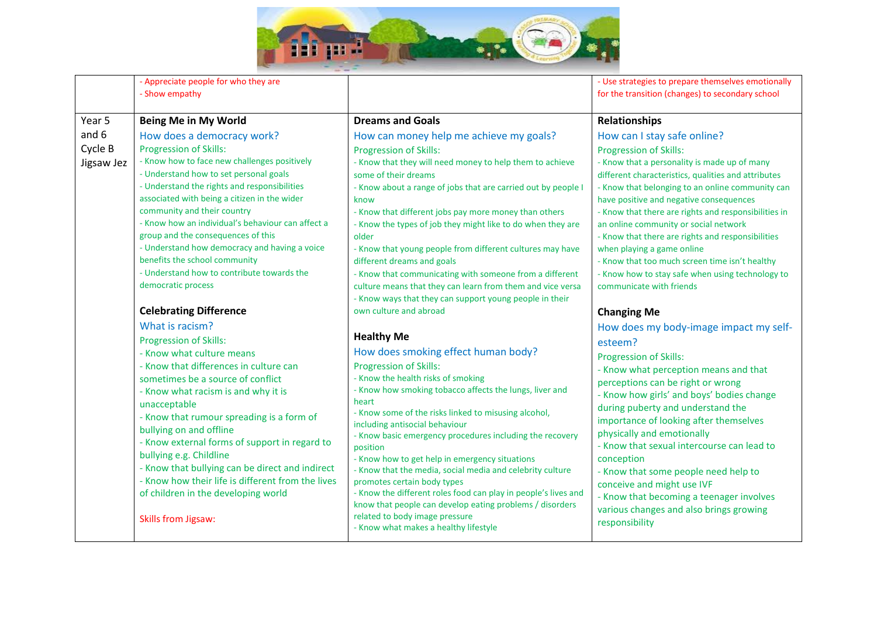

|            | - Appreciate people for who they are                                             |                                                                                          | - Use strategies to prepare themselves emotionally                                         |
|------------|----------------------------------------------------------------------------------|------------------------------------------------------------------------------------------|--------------------------------------------------------------------------------------------|
|            | - Show empathy                                                                   |                                                                                          | for the transition (changes) to secondary school                                           |
|            |                                                                                  |                                                                                          |                                                                                            |
| Year 5     | <b>Being Me in My World</b>                                                      | <b>Dreams and Goals</b>                                                                  | <b>Relationships</b>                                                                       |
| and 6      | How does a democracy work?                                                       | How can money help me achieve my goals?                                                  | How can I stay safe online?                                                                |
| Cycle B    | <b>Progression of Skills:</b>                                                    | <b>Progression of Skills:</b>                                                            | <b>Progression of Skills:</b>                                                              |
| Jigsaw Jez | - Know how to face new challenges positively                                     | - Know that they will need money to help them to achieve                                 | - Know that a personality is made up of many                                               |
|            | - Understand how to set personal goals                                           | some of their dreams                                                                     | different characteristics, qualities and attributes                                        |
|            | - Understand the rights and responsibilities                                     | - Know about a range of jobs that are carried out by people I                            | - Know that belonging to an online community can                                           |
|            | associated with being a citizen in the wider                                     | know                                                                                     | have positive and negative consequences                                                    |
|            | community and their country<br>- Know how an individual's behaviour can affect a | - Know that different jobs pay more money than others                                    | - Know that there are rights and responsibilities in                                       |
|            | group and the consequences of this                                               | - Know the types of job they might like to do when they are<br>older                     | an online community or social network<br>- Know that there are rights and responsibilities |
|            | - Understand how democracy and having a voice                                    | - Know that young people from different cultures may have                                | when playing a game online                                                                 |
|            | benefits the school community                                                    | different dreams and goals                                                               | - Know that too much screen time isn't healthy                                             |
|            | - Understand how to contribute towards the                                       | - Know that communicating with someone from a different                                  | - Know how to stay safe when using technology to                                           |
|            | democratic process                                                               | culture means that they can learn from them and vice versa                               | communicate with friends                                                                   |
|            |                                                                                  | - Know ways that they can support young people in their                                  |                                                                                            |
|            | <b>Celebrating Difference</b>                                                    | own culture and abroad                                                                   | <b>Changing Me</b>                                                                         |
|            | What is racism?                                                                  |                                                                                          | How does my body-image impact my self-                                                     |
|            | <b>Progression of Skills:</b>                                                    | <b>Healthy Me</b>                                                                        | esteem?                                                                                    |
|            | - Know what culture means                                                        | How does smoking effect human body?                                                      | <b>Progression of Skills:</b>                                                              |
|            | - Know that differences in culture can                                           | <b>Progression of Skills:</b>                                                            | - Know what perception means and that                                                      |
|            | sometimes be a source of conflict                                                | - Know the health risks of smoking                                                       | perceptions can be right or wrong                                                          |
|            | - Know what racism is and why it is                                              | - Know how smoking tobacco affects the lungs, liver and<br>heart                         | - Know how girls' and boys' bodies change                                                  |
|            | unacceptable                                                                     | - Know some of the risks linked to misusing alcohol,                                     | during puberty and understand the                                                          |
|            | - Know that rumour spreading is a form of                                        | including antisocial behaviour                                                           | importance of looking after themselves                                                     |
|            | bullying on and offline                                                          | - Know basic emergency procedures including the recovery                                 | physically and emotionally                                                                 |
|            | - Know external forms of support in regard to<br>bullying e.g. Childline         | position                                                                                 | - Know that sexual intercourse can lead to                                                 |
|            | - Know that bullying can be direct and indirect                                  | - Know how to get help in emergency situations                                           | conception                                                                                 |
|            | - Know how their life is different from the lives                                | - Know that the media, social media and celebrity culture<br>promotes certain body types | - Know that some people need help to                                                       |
|            | of children in the developing world                                              | - Know the different roles food can play in people's lives and                           | conceive and might use IVF                                                                 |
|            |                                                                                  | know that people can develop eating problems / disorders                                 | - Know that becoming a teenager involves                                                   |
|            |                                                                                  |                                                                                          |                                                                                            |
|            | Skills from Jigsaw:                                                              | related to body image pressure<br>- Know what makes a healthy lifestyle                  | various changes and also brings growing<br>responsibility                                  |